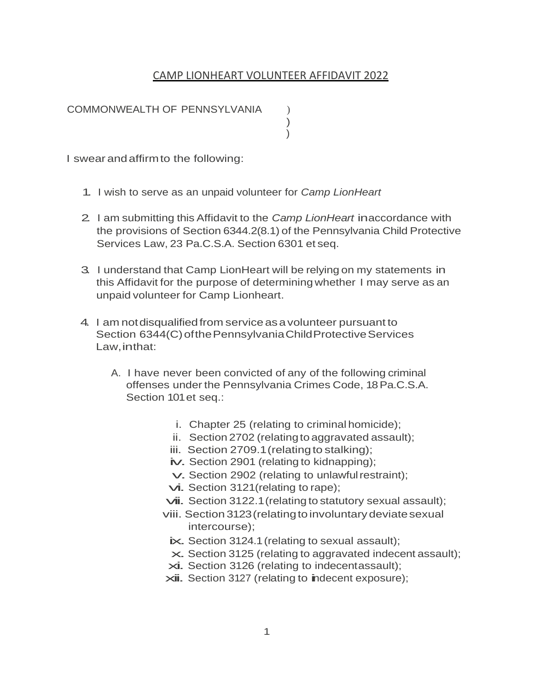## CAMP LIONHEART VOLUNTEER AFFIDAVIT 2022

) )

COMMONWEALTH OF PENNSYLVANIA (a)

I swear andaffirmto the following:

- 1. I wish to serve as an unpaid volunteer for *Camp LionHeart*
- 2. I am submitting this Affidavit to the *Camp LionHeart* in accordance with the provisions of Section 6344.2(8.1) of the Pennsylvania Child Protective Services Law, 23 Pa.C.S.A. Section 6301 et seq.
- 3. I understand that Camp LionHeart will be relying on my statements in this Affidavit for the purpose of determiningwhether I may serve as an unpaid volunteer for Camp Lionheart.
- 4. I am notdisqualifiedfrom serviceasavolunteer pursuant to Section 6344(C) of the Pennsylvania Child Protective Services Law,inthat:
	- A. I have never been convicted of any of the following criminal offenses under the Pennsylvania Crimes Code, 18 Pa.C.S.A. Section 101 et seq.:
		- i. Chapter 25 (relating to criminal homicide);
		- ii. Section 2702 (relating to aggravated assault);
		- iii. Section 2709.1 (relating to stalking);
		- iv. Section 2901 (relating to kidnapping);
		- v.Section 2902 (relating to unlawfulrestraint);
		- vi. Section 3121 (relating to rape);
		- $\nu$ ii. Section 3122.1 (relating to statutory sexual assault);
		- viii. Section 3123 (relating to involuntary deviate sexual intercourse);
			- ix. Section 3124.1 (relating to sexual assault);
			- $\times$  Section 3125 (relating to aggravated indecent assault);
		- xi. Section 3126 (relating to indecentassault);
		- $xii.$  Section 3127 (relating to indecent exposure);